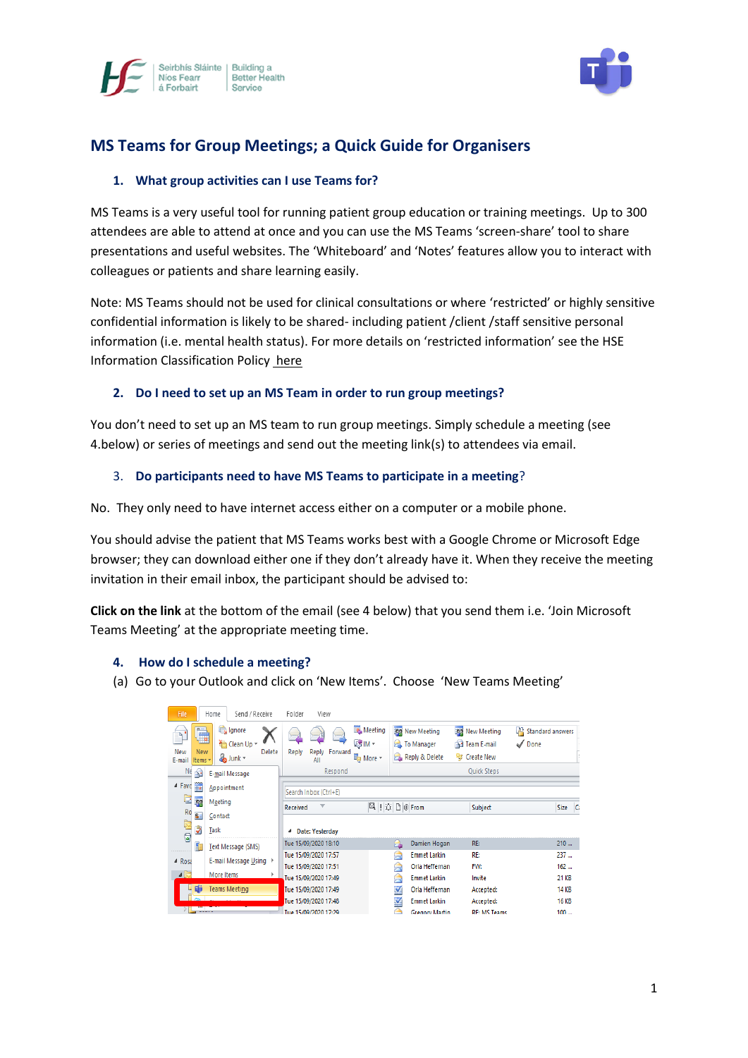



# **MS Teams for Group Meetings; a Quick Guide for Organisers**

## **1. What group activities can I use Teams for?**

MS Teams is a very useful tool for running patient group education or training meetings. Up to 300 attendees are able to attend at once and you can use the MS Teams 'screen-share' tool to share presentations and useful websites. The 'Whiteboard' and 'Notes' features allow you to interact with colleagues or patients and share learning easily.

Note: MS Teams should not be used for clinical consultations or where 'restricted' or highly sensitive confidential information is likely to be shared- including patient /client /staff sensitive personal information (i.e. mental health status). For more details on 'restricted information' see the HSE Information Classification Policy [here](https://www.hse.ie/eng/services/publications/pp/ict/)

## **2. Do I need to set up an MS Team in order to run group meetings?**

You don't need to set up an MS team to run group meetings. Simply schedule a meeting (see 4.below) or series of meetings and send out the meeting link(s) to attendees via email.

#### 3. **Do participants need to have MS Teams to participate in a meeting**?

No. They only need to have internet access either on a computer or a mobile phone.

You should advise the patient that MS Teams works best with a Google Chrome or Microsoft Edge browser; they can download either one if they don't already have it. When they receive the meeting invitation in their email inbox, the participant should be advised to:

**Click on the link** at the bottom of the email (see 4 below) that you send them i.e. 'Join Microsoft Teams Meeting' at the appropriate meeting time.

#### **4. How do I schedule a meeting?**

(a) Go to your Outlook and click on 'New Items'. Choose 'New Teams Meeting'

| File.<br>Send / Receive<br>Home                                                                    | Folder<br>View                                                               |                                                                                                                                             |                               |
|----------------------------------------------------------------------------------------------------|------------------------------------------------------------------------------|---------------------------------------------------------------------------------------------------------------------------------------------|-------------------------------|
| Ignore<br>$n-1$<br>≞<br>Clean Up *<br>New<br><b>New</b><br>Delete<br>o Junk *<br>E-mail<br>Items * | Meeting<br><b>③IM</b><br>Forward<br>Reply<br><b>Reply</b><br>■ More ▼<br>All | <b>30</b> New Meeting<br><b>RO</b> New Meeting<br>Team E-mail<br><b>To Manager</b><br>√ Done<br>扈<br>Reply & Delete<br><b>iz</b> Create New | <sup>2</sup> Standard answers |
| Nε<br>Ê<br>E-mail Message                                                                          | Respond                                                                      | Quick Steps                                                                                                                                 |                               |
| ⊿ Favo<br>٦<br>Appointment<br>c                                                                    | Search Inbox (Ctrl+E)                                                        |                                                                                                                                             |                               |
| 93<br>Meeting<br>Ro                                                                                | ▼<br>Received                                                                | $\mathbb{E} \mid \mathbb{E} \mid \mathbb{E} \mid \mathbb{E}$ of From<br>Subject                                                             | Size Ca                       |
| $S =$<br>Contact                                                                                   |                                                                              |                                                                                                                                             |                               |
| È<br>Ž<br>Task<br>$\circledcirc$                                                                   | <b>Date: Yesterday</b><br>₫                                                  |                                                                                                                                             |                               |
| G<br>Text Message (SMS)                                                                            | Tue 15/09/2020 18:10                                                         | RE:<br>Damien Hogan<br><b>b</b> -A                                                                                                          | 210                           |
| E-mail Message Using<br>4 Rosa                                                                     | Tue 15/09/2020 17:57                                                         | RE:<br><b>Emmet Larkin</b><br>⊶                                                                                                             | 237                           |
|                                                                                                    | Tue 15/09/2020 17:51                                                         | FW:<br>Orla Heffernan<br>⋐                                                                                                                  | 162                           |
| $\sqrt{5}$<br>More Items                                                                           | Tue 15/09/2020 17:49                                                         | <b>Emmet Larkin</b><br>Invite<br>罓                                                                                                          | 21 KB                         |
| <b>Teams Meeting</b>                                                                               | Tue 15/09/2020 17:49                                                         | M<br>Orla Heffernan<br>Accepted:                                                                                                            | <b>14 KB</b>                  |
|                                                                                                    | Tue 15/09/2020 17:48                                                         | V<br><b>Emmet Larkin</b><br>Accepted:                                                                                                       | <b>16 KB</b>                  |
|                                                                                                    | Tue 15/09/2020 17:29                                                         | <b>RF: MS Teams</b><br><b>Gregory Martin</b>                                                                                                | 100                           |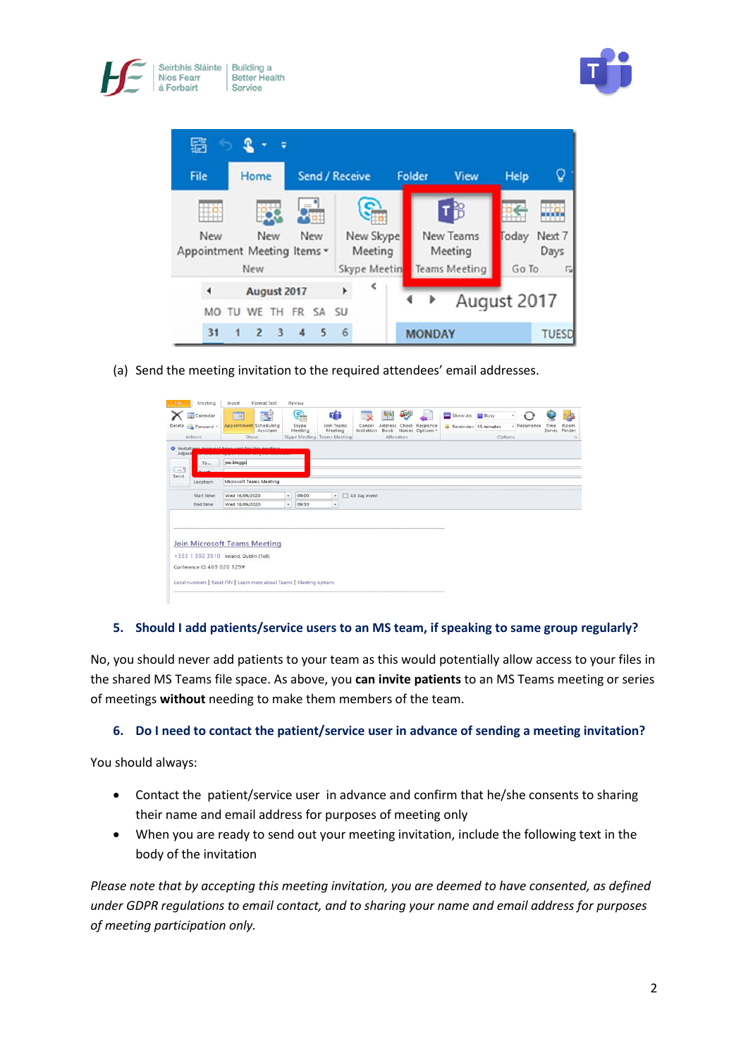





(a) Send the meeting invitation to the required attendees' email addresses.

| File.                       | Meeting                                | Insert         | Format Text                                                          |    | Review                 |                                    |                            |                       |                                        |                |                              |         |              |               |                       |  |
|-----------------------------|----------------------------------------|----------------|----------------------------------------------------------------------|----|------------------------|------------------------------------|----------------------------|-----------------------|----------------------------------------|----------------|------------------------------|---------|--------------|---------------|-----------------------|--|
|                             | <b>Q</b> Calendar<br>Delete Forward -  | PANA           | <b>ILL</b><br><b>Appointment</b> Scheduling<br>Assistant             |    | S.<br>Skype<br>Meeting | 대표<br><b>Join Teams</b><br>Meeting | ئی<br>Cancel<br>Invitation | 88<br>Address<br>Book | 토<br>Check Response<br>Names Options - | œ.<br>Show As: | Busy<br>Reminder: 15 minutes | ×       | - Recurrence | Time<br>Zones | æ<br>Room<br>Finder   |  |
|                             | Actions                                |                | Show                                                                 |    |                        | Skype Meeting Teams Meeting        |                            | Attendees             |                                        |                |                              | Options |              |               | $\Gamma_{\mathbf{K}}$ |  |
| <b>O</b> Invitati<br>Adjace | ---------------                        |                | CANSAS REGISTERS AND A SOUND PROPERTY AND                            |    |                        |                                    |                            |                       |                                        |                |                              |         |              |               |                       |  |
|                             | To                                     | joe.bloggs     |                                                                      |    |                        |                                    |                            |                       |                                        |                |                              |         |              |               |                       |  |
| $-1$                        |                                        |                |                                                                      |    |                        |                                    |                            |                       |                                        |                |                              |         |              |               |                       |  |
| Send                        | Location:                              |                | Microsoft Teams Meeting                                              |    |                        |                                    |                            |                       |                                        |                |                              |         |              |               |                       |  |
|                             | Start time:                            | Wed 16/09/2020 |                                                                      | ۰  | 09:00                  | ۰                                  | All day event              |                       |                                        |                |                              |         |              |               |                       |  |
|                             | End time:                              | Wed 16/09/2020 |                                                                      | ۰. | 09:30                  | $\sim$                             |                            |                       |                                        |                |                              |         |              |               |                       |  |
|                             |                                        |                | Join Microsoft Teams Meeting                                         |    |                        |                                    |                            |                       |                                        |                |                              |         |              |               |                       |  |
|                             | +353 1 592 3510 Ireland, Dublin (Toll) |                |                                                                      |    |                        |                                    |                            |                       |                                        |                |                              |         |              |               |                       |  |
|                             | Conference ID: 469 020 129#            |                |                                                                      |    |                        |                                    |                            |                       |                                        |                |                              |         |              |               |                       |  |
|                             |                                        |                | Local numbers   Reset PIN   Learn more about Teams   Meeting options |    |                        |                                    |                            |                       |                                        |                |                              |         |              |               |                       |  |
|                             |                                        |                |                                                                      |    |                        |                                    |                            |                       |                                        |                |                              |         |              |               |                       |  |

# **5. Should I add patients/service users to an MS team, if speaking to same group regularly?**

No, you should never add patients to your team as this would potentially allow access to your files in the shared MS Teams file space. As above, you **can invite patients** to an MS Teams meeting or series of meetings **without** needing to make them members of the team.

# **6. Do I need to contact the patient/service user in advance of sending a meeting invitation?**

You should always:

- Contact the patient/service user in advance and confirm that he/she consents to sharing their name and email address for purposes of meeting only
- When you are ready to send out your meeting invitation, include the following text in the body of the invitation

*Please note that by accepting this meeting invitation, you are deemed to have consented, as defined under GDPR regulations to email contact, and to sharing your name and email address for purposes of meeting participation only.*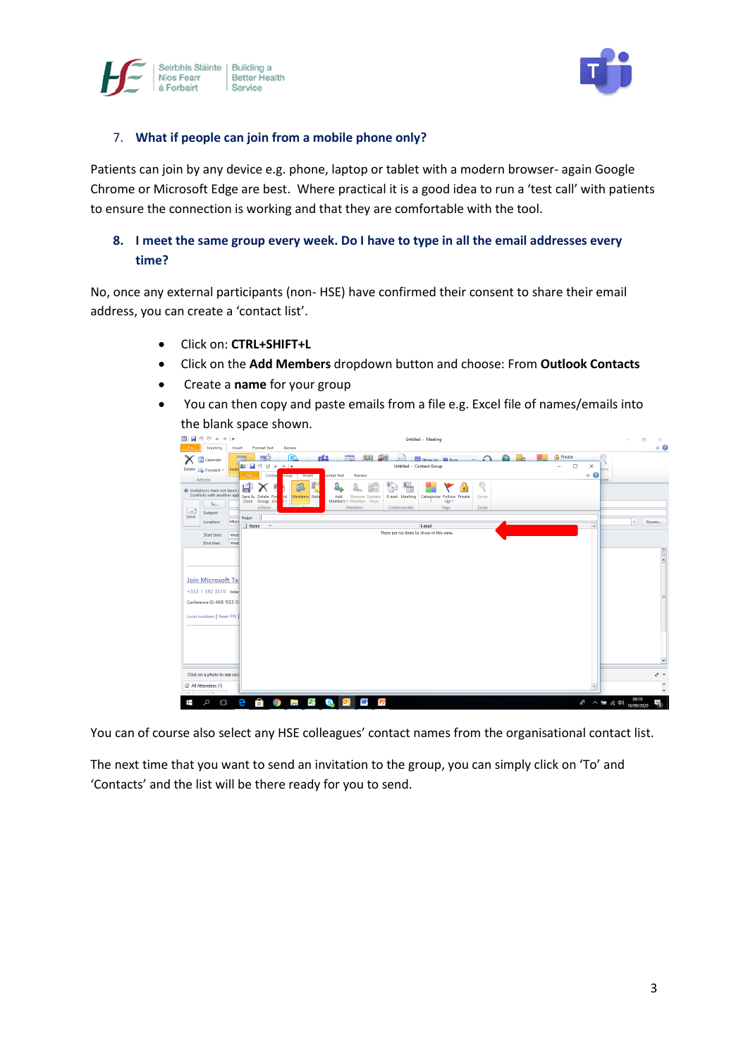



## 7. **What if people can join from a mobile phone only?**

Patients can join by any device e.g. phone, laptop or tablet with a modern browser- again Google Chrome or Microsoft Edge are best. Where practical it is a good idea to run a 'test call' with patients to ensure the connection is working and that they are comfortable with the tool.

# **8. I meet the same group every week. Do I have to type in all the email addresses every time?**

No, once any external participants (non- HSE) have confirmed their consent to share their email address, you can create a 'contact list'.

- Click on: **CTRL+SHIFT+L**
- Click on the **Add Members** dropdown button and choose: From **Outlook Contacts**
- Create a **name** for your group
- You can then copy and paste emails from a file e.g. Excel file of names/emails into the blank space shown.



You can of course also select any HSE colleagues' contact names from the organisational contact list.

The next time that you want to send an invitation to the group, you can simply click on 'To' and 'Contacts' and the list will be there ready for you to send.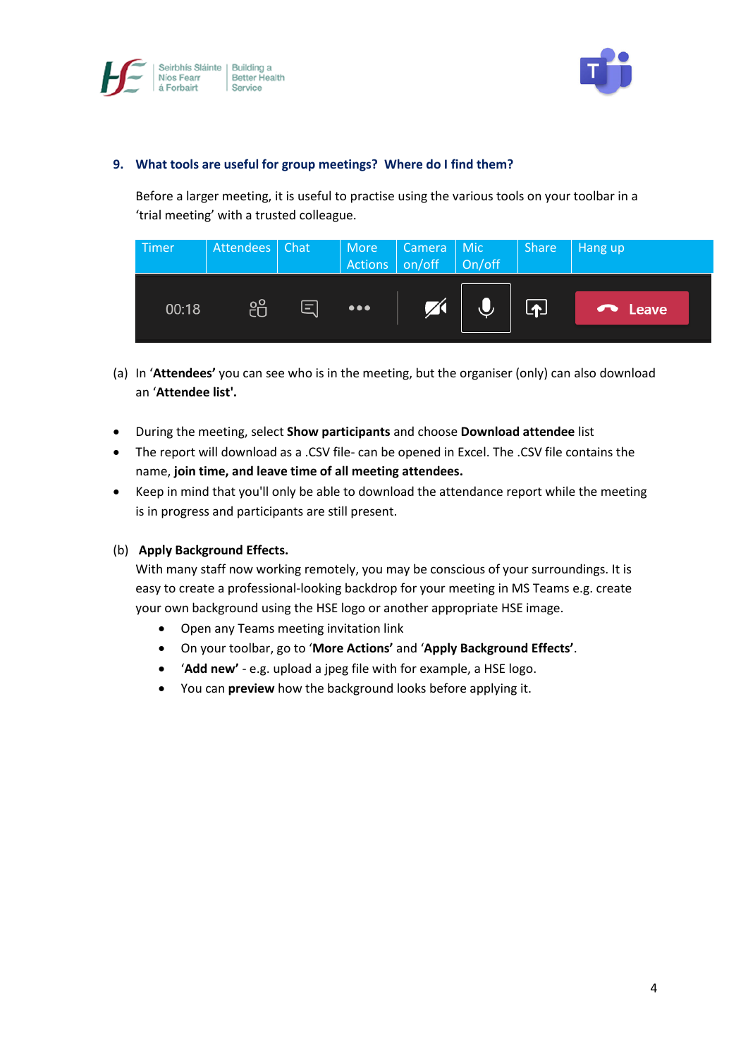



## **9. What tools are useful for group meetings? Where do I find them?**

Before a larger meeting, it is useful to practise using the various tools on your toolbar in a 'trial meeting' with a trusted colleague.

| Timer | Attendees | Chat     |                         | Actions On/off |           | Share               | Hang up |
|-------|-----------|----------|-------------------------|----------------|-----------|---------------------|---------|
| 00:18 | දීරි      | $\equiv$ | $\bullet\bullet\bullet$ | $\nabla$       | $\bigcup$ | $\boldsymbol{\Phi}$ | leave   |

- (a) In '**Attendees'** you can see who is in the meeting, but the organiser (only) can also download an '**Attendee list'.**
- During the meeting, select **Show participants** and choose **Download attendee** list
- The report will download as a .CSV file- can be opened in Excel. The .CSV file contains the name, **join time, and leave time of all meeting attendees.**
- Keep in mind that you'll only be able to download the attendance report while the meeting is in progress and participants are still present.

## (b) **Apply Background Effects.**

With many staff now working remotely, you may be conscious of your surroundings. It is easy to create a professional-looking backdrop for your meeting in MS Teams e.g. create your own background using the HSE logo or another appropriate HSE image.

- Open any Teams meeting invitation link
- On your toolbar, go to '**More Actions'** and '**Apply Background Effects'**.
- '**Add new'** e.g. upload a jpeg file with for example, a HSE logo.
- You can **preview** how the background looks before applying it.